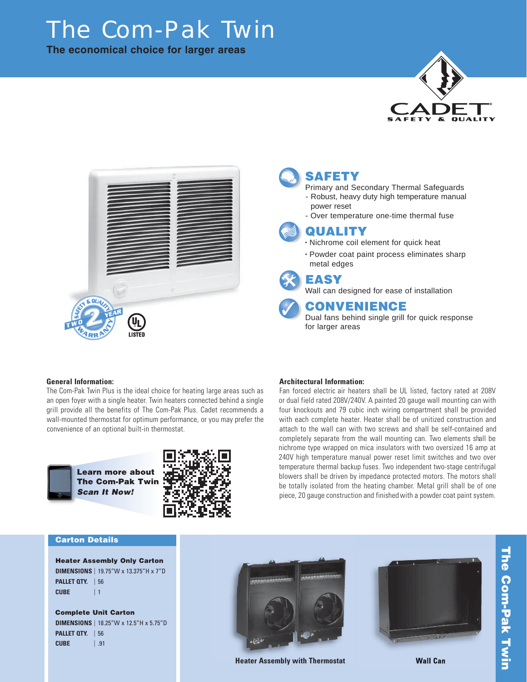# The Com-Pak Twin

**The economical choice for larger areas**





## **SAFETY**

- Primary and Secondary Thermal Safeguards - Robust, heavy duty high temperature manual power reset
- Over temperature one-time thermal fuse



• Nichrome coil element for quick heat • Powder coat paint process eliminates sharp metal edges

### **EASY**

Wall can designed for ease of installation

### **CONVENIENCE**

Dual fans behind single grill for quick response for larger areas

#### **General Information:**

The Com-Pak Twin Plus is the ideal choice for heating large areas such as an open foyer with a single heater. Twin heaters connected behind a single grill provide all the benefits of The Com-Pak Plus. Cadet recommends a wall-mounted thermostat for optimum performance, or you may prefer the convenience of an optional built-in thermostat.



**Learn more about The Com-Pak Twin** *Scan It Now!*



### **Architectural Information:**

Fan forced electric air heaters shall be UL listed, factory rated at 208V or dual field rated 208V/240V. A painted 20 gauge wall mounting can with four knockouts and 79 cubic inch wiring compartment shall be provided with each complete heater. Heater shall be of unitized construction and attach to the wall can with two screws and shall be self-contained and completely separate from the wall mounting can. Two elements shall be nichrome type wrapped on mica insulators with two oversized 16 amp at 240V high temperature manual power reset limit switches and two over temperature thermal backup fuses. Two independent two-stage centrifugal blowers shall be driven by impedance protected motors. The motors shall be totally isolated from the heating chamber. Metal grill shall be of one piece, 20 gauge construction and finished with a powder coat paint system.

#### **Carton Details**

**Heater Assembly Only Carton DIMENSIONS** | 19.75"W x 13.375"H x 7"D **PALLET QTY.** | 56 **CUBE** | 1

**Complete Unit Carton DIMENSIONS** | 18.25"W x 12.5"H x 5.75"D **PALLET QTY.** | 56 **CUBE** | .91



**Heater Assembly with Thermostat Wall Can**